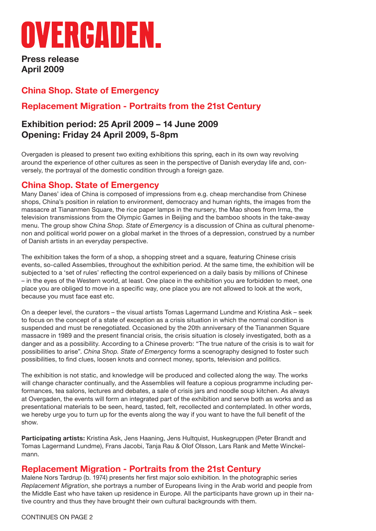# OVERGADEN.

**Press release April 2009**

# **China Shop. State of Emergency**

# **Replacement Migration - Portraits from the 21st Century**

## **Exhibition period: 25 April 2009 – 14 June 2009 Opening: Friday 24 April 2009, 5-8pm**

Overgaden is pleased to present two exiting exhibitions this spring, each in its own way revolving around the experience of other cultures as seen in the perspective of Danish everyday life and, conversely, the portrayal of the domestic condition through a foreign gaze.

## **China Shop. State of Emergency**

Many Danes' idea of China is composed of impressions from e.g. cheap merchandise from Chinese shops, China's position in relation to environment, democracy and human rights, the images from the massacre at Tiananmen Square, the rice paper lamps in the nursery, the Mao shoes from Irma, the television transmissions from the Olympic Games in Beijing and the bamboo shoots in the take-away menu. The group show *China Shop. State of Emergency* is a discussion of China as cultural phenomenon and political world power on a global market in the throes of a depression, construed by a number of Danish artists in an everyday perspective.

The exhibition takes the form of a shop, a shopping street and a square, featuring Chinese crisis events, so-called Assemblies, throughout the exhibition period. At the same time, the exhibition will be subjected to a 'set of rules' reflecting the control experienced on a daily basis by millions of Chinese – in the eyes of the Western world, at least. One place in the exhibition you are forbidden to meet, one place you are obliged to move in a specific way, one place you are not allowed to look at the work, because you must face east etc.

On a deeper level, the curators – the visual artists Tomas Lagermand Lundme and Kristina Ask – seek to focus on the concept of a state of exception as a crisis situation in which the normal condition is suspended and must be renegotiated. Occasioned by the 20th anniversary of the Tiananmen Square massacre in 1989 and the present financial crisis, the crisis situation is closely investigated, both as a danger and as a possibility. According to a Chinese proverb: "The true nature of the crisis is to wait for possibilities to arise". *China Shop. State of Emergency* forms a scenography designed to foster such possibilities, to find clues, loosen knots and connect money, sports, television and politics.

The exhibition is not static, and knowledge will be produced and collected along the way. The works will change character continually, and the Assemblies will feature a copious programme including performances, tea salons, lectures and debates, a sale of crisis jars and noodle soup kitchen. As always at Overgaden, the events will form an integrated part of the exhibition and serve both as works and as presentational materials to be seen, heard, tasted, felt, recollected and contemplated. In other words, we hereby urge you to turn up for the events along the way if you want to have the full benefit of the show.

**Participating artists:** Kristina Ask, Jens Haaning, Jens Hultquist, Huskegruppen (Peter Brandt and Tomas Lagermand Lundme), Frans Jacobi, Tanja Rau & Olof Olsson, Lars Rank and Mette Winckelmann.

#### **Replacement Migration - Portraits from the 21st Century**

Malene Nors Tardrup (b. 1974) presents her first major solo exhibition. In the photographic series *Replacement Migration*, she portrays a number of Europeans living in the Arab world and people from the Middle East who have taken up residence in Europe. All the participants have grown up in their native country and thus they have brought their own cultural backgrounds with them.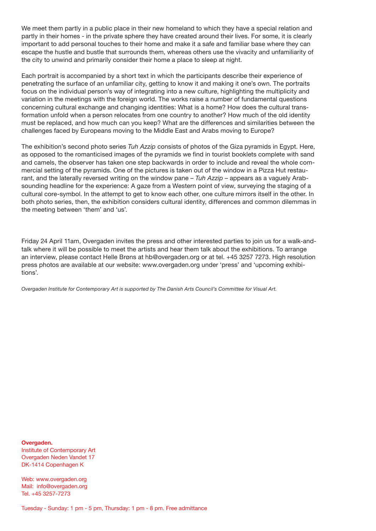We meet them partly in a public place in their new homeland to which they have a special relation and partly in their homes - in the private sphere they have created around their lives. For some, it is clearly important to add personal touches to their home and make it a safe and familiar base where they can escape the hustle and bustle that surrounds them, whereas others use the vivacity and unfamiliarity of the city to unwind and primarily consider their home a place to sleep at night.

Each portrait is accompanied by a short text in which the participants describe their experience of penetrating the surface of an unfamiliar city, getting to know it and making it one's own. The portraits focus on the individual person's way of integrating into a new culture, highlighting the multiplicity and variation in the meetings with the foreign world. The works raise a number of fundamental questions concerning cultural exchange and changing identities: What is a home? How does the cultural transformation unfold when a person relocates from one country to another? How much of the old identity must be replaced, and how much can you keep? What are the differences and similarities between the challenges faced by Europeans moving to the Middle East and Arabs moving to Europe?

The exhibition's second photo series *Tuh Azzip* consists of photos of the Giza pyramids in Egypt. Here, as opposed to the romanticised images of the pyramids we find in tourist booklets complete with sand and camels, the observer has taken one step backwards in order to include and reveal the whole commercial setting of the pyramids. One of the pictures is taken out of the window in a Pizza Hut restaurant, and the laterally reversed writing on the window pane – *Tuh Azzip* – appears as a vaguely Arabsounding headline for the experience: A gaze from a Western point of view, surveying the staging of a cultural core-symbol. In the attempt to get to know each other, one culture mirrors itself in the other. In both photo series, then, the exhibition considers cultural identity, differences and common dilemmas in the meeting between 'them' and 'us'.

Friday 24 April 11am, Overgaden invites the press and other interested parties to join us for a walk-andtalk where it will be possible to meet the artists and hear them talk about the exhibitions. To arrange an interview, please contact Helle Brøns at hb@overgaden.org or at tel. +45 3257 7273. High resolution press photos are available at our website: www.overgaden.org under 'press' and 'upcoming exhibitions'.

*Overgaden Institute for Contemporary Art is supported by The Danish Arts Council's Committee for Visual Art.*

**Overgaden.** Institute of Contemporary Art Overgaden Neden Vandet 17 DK-1414 Copenhagen K

Web: www.overgaden.org Mail: info@overgaden.org Tel. +45 3257-7273

Tuesday - Sunday: 1 pm - 5 pm, Thursday: 1 pm - 8 pm. Free admittance